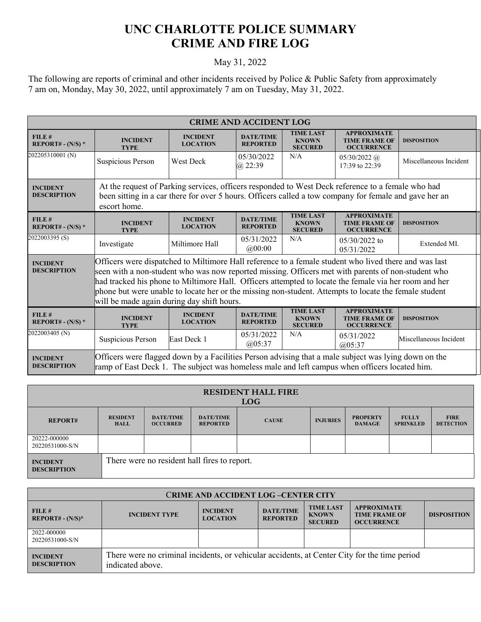## **UNC CHARLOTTE POLICE SUMMARY CRIME AND FIRE LOG**

## May 31, 2022

The following are reports of criminal and other incidents received by Police & Public Safety from approximately 7 am on, Monday, May 30, 2022, until approximately 7 am on Tuesday, May 31, 2022.

| <b>CRIME AND ACCIDENT LOG</b>         |                                                                                                                                                                                                                                                                                                                                                                                                                                                                             |                                    |                                     |                                                    |                                                                 |                        |  |
|---------------------------------------|-----------------------------------------------------------------------------------------------------------------------------------------------------------------------------------------------------------------------------------------------------------------------------------------------------------------------------------------------------------------------------------------------------------------------------------------------------------------------------|------------------------------------|-------------------------------------|----------------------------------------------------|-----------------------------------------------------------------|------------------------|--|
| FILE#<br>REPORT# - $(N/S)$ *          | <b>INCIDENT</b><br><b>TYPE</b>                                                                                                                                                                                                                                                                                                                                                                                                                                              | <b>INCIDENT</b><br><b>LOCATION</b> | <b>DATE/TIME</b><br><b>REPORTED</b> | <b>TIME LAST</b><br><b>KNOWN</b><br><b>SECURED</b> | <b>APPROXIMATE</b><br><b>TIME FRAME OF</b><br><b>OCCURRENCE</b> | <b>DISPOSITION</b>     |  |
| 202205310001 (N)                      | Suspicious Person                                                                                                                                                                                                                                                                                                                                                                                                                                                           | West Deck                          | 05/30/2022<br>$\omega$ 22:39        | N/A                                                | $05/30/2022$ (a)<br>17:39 to 22:39                              | Miscellaneous Incident |  |
| <b>INCIDENT</b><br><b>DESCRIPTION</b> | At the request of Parking services, officers responded to West Deck reference to a female who had<br>been sitting in a car there for over 5 hours. Officers called a tow company for female and gave her an<br>escort home.                                                                                                                                                                                                                                                 |                                    |                                     |                                                    |                                                                 |                        |  |
| FILE#<br>REPORT# - $(N/S)$ *          | <b>INCIDENT</b><br><b>TYPE</b>                                                                                                                                                                                                                                                                                                                                                                                                                                              | <b>INCIDENT</b><br><b>LOCATION</b> | <b>DATE/TIME</b><br><b>REPORTED</b> | <b>TIME LAST</b><br><b>KNOWN</b><br><b>SECURED</b> | <b>APPROXIMATE</b><br><b>TIME FRAME OF</b><br><b>OCCURRENCE</b> | <b>DISPOSITION</b>     |  |
| 2022003395 (S)                        | Investigate                                                                                                                                                                                                                                                                                                                                                                                                                                                                 | Miltimore Hall                     | 05/31/2022<br>@00:00                | N/A                                                | $05/30/2022$ to<br>05/31/2022                                   | Extended MI.           |  |
| <b>INCIDENT</b><br><b>DESCRIPTION</b> | Officers were dispatched to Miltimore Hall reference to a female student who lived there and was last<br>seen with a non-student who was now reported missing. Officers met with parents of non-student who<br>had tracked his phone to Miltimore Hall. Officers attempted to locate the female via her room and her<br>phone but were unable to locate her or the missing non-student. Attempts to locate the female student<br>will be made again during day shift hours. |                                    |                                     |                                                    |                                                                 |                        |  |
| FILE#<br>REPORT# - $(N/S)$ *          | <b>INCIDENT</b><br><b>TYPE</b>                                                                                                                                                                                                                                                                                                                                                                                                                                              | <b>INCIDENT</b><br><b>LOCATION</b> | <b>DATE/TIME</b><br><b>REPORTED</b> | <b>TIME LAST</b><br><b>KNOWN</b><br><b>SECURED</b> | <b>APPROXIMATE</b><br><b>TIME FRAME OF</b><br><b>OCCURRENCE</b> | <b>DISPOSITION</b>     |  |
| 2022003405 (N)                        | Suspicious Person                                                                                                                                                                                                                                                                                                                                                                                                                                                           | East Deck 1                        | 05/31/2022<br>(a)05:37              | N/A                                                | 05/31/2022<br>(205:37)                                          | Miscellaneous Incident |  |
| <b>INCIDENT</b><br><b>DESCRIPTION</b> | Officers were flagged down by a Facilities Person advising that a male subject was lying down on the<br>ramp of East Deck 1. The subject was homeless male and left campus when officers located him.                                                                                                                                                                                                                                                                       |                                    |                                     |                                                    |                                                                 |                        |  |

| <b>RESIDENT HALL FIRE</b><br><b>LOG</b> |                                |                                              |                                     |              |                 |                                  |                                  |                                 |
|-----------------------------------------|--------------------------------|----------------------------------------------|-------------------------------------|--------------|-----------------|----------------------------------|----------------------------------|---------------------------------|
| <b>REPORT#</b>                          | <b>RESIDENT</b><br><b>HALL</b> | <b>DATE/TIME</b><br><b>OCCURRED</b>          | <b>DATE/TIME</b><br><b>REPORTED</b> | <b>CAUSE</b> | <b>INJURIES</b> | <b>PROPERTY</b><br><b>DAMAGE</b> | <b>FULLY</b><br><b>SPRINKLED</b> | <b>FIRE</b><br><b>DETECTION</b> |
| 20222-000000<br>20220531000-S/N         |                                |                                              |                                     |              |                 |                                  |                                  |                                 |
| <b>INCIDENT</b><br><b>DESCRIPTION</b>   |                                | There were no resident hall fires to report. |                                     |              |                 |                                  |                                  |                                 |

| <b>CRIME AND ACCIDENT LOG-CENTER CITY</b> |                                                                                                                  |                                    |                                     |                                                    |                                                                 |                    |
|-------------------------------------------|------------------------------------------------------------------------------------------------------------------|------------------------------------|-------------------------------------|----------------------------------------------------|-----------------------------------------------------------------|--------------------|
| FILE#<br>$REPORT# - (N/S)*$               | <b>INCIDENT TYPE</b>                                                                                             | <b>INCIDENT</b><br><b>LOCATION</b> | <b>DATE/TIME</b><br><b>REPORTED</b> | <b>TIME LAST</b><br><b>KNOWN</b><br><b>SECURED</b> | <b>APPROXIMATE</b><br><b>TIME FRAME OF</b><br><b>OCCURRENCE</b> | <b>DISPOSITION</b> |
| 2022-000000<br>20220531000-S/N            |                                                                                                                  |                                    |                                     |                                                    |                                                                 |                    |
| <b>INCIDENT</b><br><b>DESCRIPTION</b>     | There were no criminal incidents, or vehicular accidents, at Center City for the time period<br>indicated above. |                                    |                                     |                                                    |                                                                 |                    |